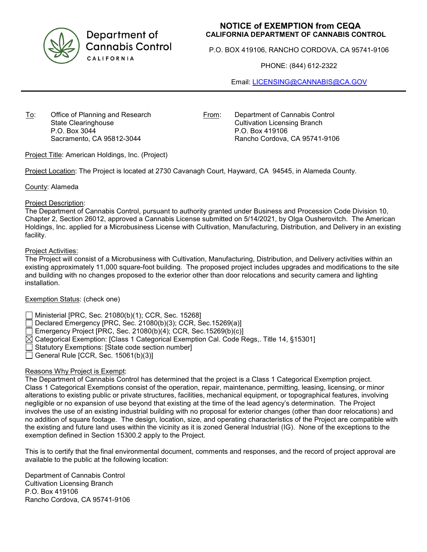

Department of **Cannabis Control** CALIFORNIA

## **NOTICE of EXEMPTION from CEQA CALIFORNIA DEPARTMENT OF CANNABIS CONTROL**

P.O. BOX 419106, RANCHO CORDOVA, CA 95741-9106

PHONE: (844) 612-2322

Email: [LICENSING@CANNABIS@CA.GOV](mailto:LICENSING@CANNABIS@CA.GOV)

To: Office of Planning and Research State Clearinghouse P.O. Box 3044 Sacramento, CA 95812-3044

From: Department of Cannabis Control Cultivation Licensing Branch P.O. Box 419106 Rancho Cordova, CA 95741-9106

Project Title: American Holdings, Inc. (Project)

Project Location: The Project is located at 2730 Cavanagh Court, Hayward, CA 94545, in Alameda County.

County: Alameda

#### Project Description:

The Department of Cannabis Control, pursuant to authority granted under Business and Procession Code Division 10, Chapter 2, Section 26012, approved a Cannabis License submitted on 5/14/2021, by Olga Ousherovitch. The American Holdings, Inc. applied for a Microbusiness License with Cultivation, Manufacturing, Distribution, and Delivery in an existing facility.

#### Project Activities:

The Project will consist of a Microbusiness with Cultivation, Manufacturing, Distribution, and Delivery activities within an existing approximately 11,000 square-foot building. The proposed project includes upgrades and modifications to the site and building with no changes proposed to the exterior other than door relocations and security camera and lighting installation.

## Exemption Status: (check one)

Ministerial [PRC, Sec. 21080(b)(1); CCR, Sec. 15268]

Declared Emergency [PRC, Sec. 21080(b)(3); CCR, Sec.15269(a)]

Emergency Project [PRC, Sec. 21080(b)(4); CCR, Sec.15269(b)(c)]

- $\boxtimes$  Categorical Exemption: [Class 1 Categorical Exemption Cal. Code Regs,. Title 14, §15301]
- Statutory Exemptions: [State code section number]
- General Rule [CCR, Sec. 15061(b)(3)]

## Reasons Why Project is Exempt:

The Department of Cannabis Control has determined that the project is a Class 1 Categorical Exemption project. Class 1 Categorical Exemptions consist of the operation, repair, maintenance, permitting, leasing, licensing, or minor alterations to existing public or private structures, facilities, mechanical equipment, or topographical features, involving negligible or no expansion of use beyond that existing at the time of the lead agency's determination. The Project involves the use of an existing industrial building with no proposal for exterior changes (other than door relocations) and no addition of square footage. The design, location, size, and operating characteristics of the Project are compatible with the existing and future land uses within the vicinity as it is zoned General Industrial (IG). None of the exceptions to the exemption defined in Section 15300.2 apply to the Project.

This is to certify that the final environmental document, comments and responses, and the record of project approval are available to the public at the following location:

Department of Cannabis Control Cultivation Licensing Branch P.O. Box 419106 Rancho Cordova, CA 95741-9106